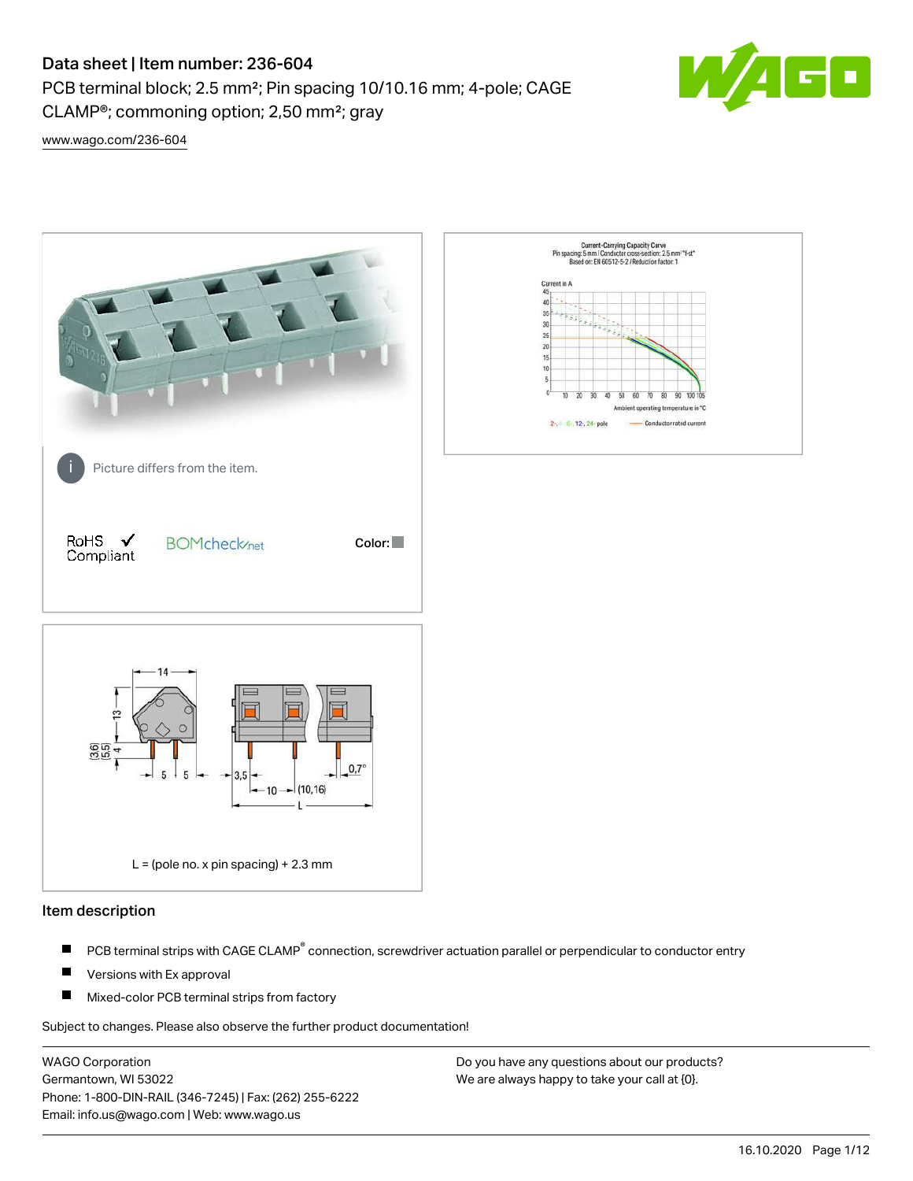PCB terminal block; 2.5 mm²; Pin spacing 10/10.16 mm; 4-pole; CAGE CLAMP®; commoning option; 2,50 mm²; gray



[www.wago.com/236-604](http://www.wago.com/236-604)



#### Item description

- PCB terminal strips with CAGE CLAMP<sup>®</sup> connection, screwdriver actuation parallel or perpendicular to conductor entry П
- П Versions with Ex approval
- П Mixed-color PCB terminal strips from factory

Subject to changes. Please also observe the further product documentation!

WAGO Corporation Germantown, WI 53022 Phone: 1-800-DIN-RAIL (346-7245) | Fax: (262) 255-6222 Email: info.us@wago.com | Web: www.wago.us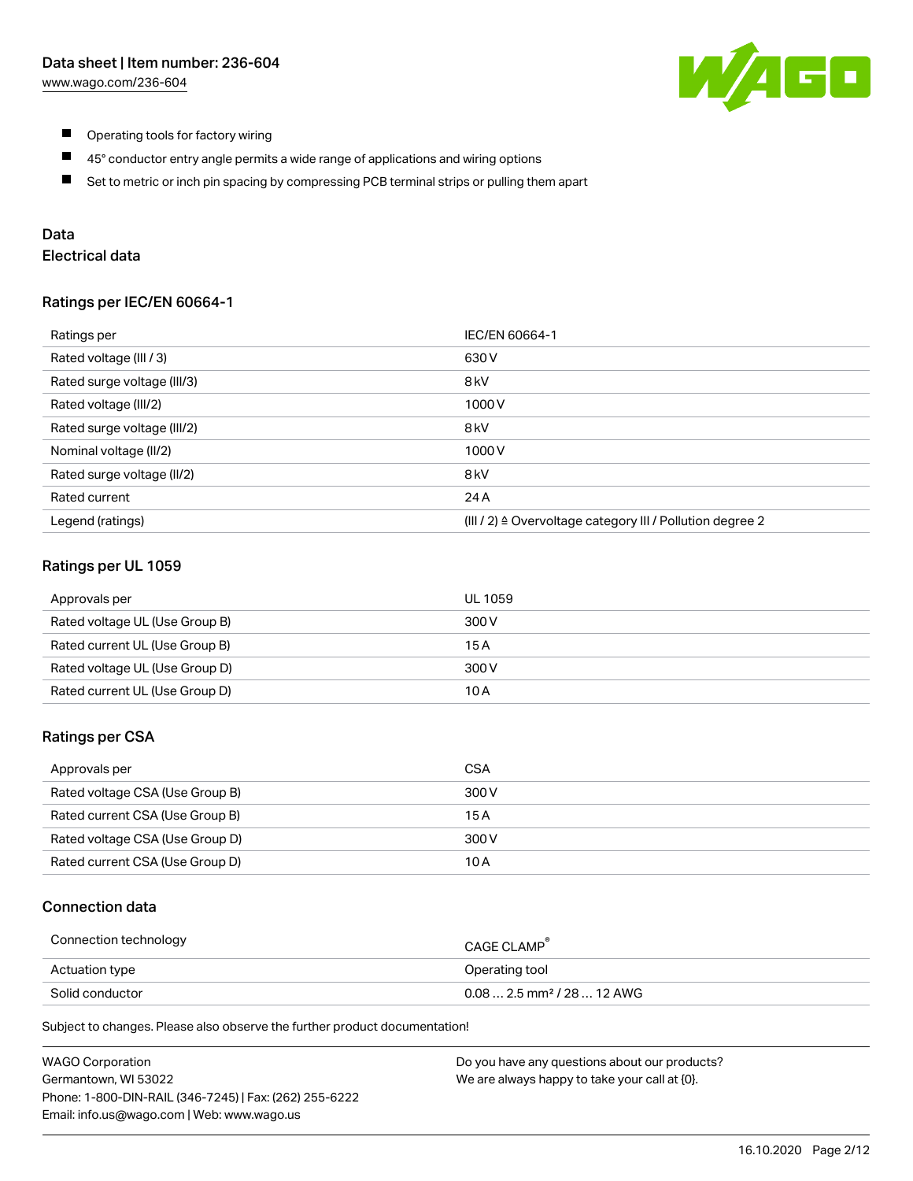

- $\blacksquare$ Operating tools for factory wiring
- $\blacksquare$ 45° conductor entry angle permits a wide range of applications and wiring options
- $\blacksquare$ Set to metric or inch pin spacing by compressing PCB terminal strips or pulling them apart

## Data

## Electrical data

#### Ratings per IEC/EN 60664-1

| Ratings per                 | IEC/EN 60664-1                                                        |
|-----------------------------|-----------------------------------------------------------------------|
| Rated voltage (III / 3)     | 630 V                                                                 |
| Rated surge voltage (III/3) | 8 <sub>kV</sub>                                                       |
| Rated voltage (III/2)       | 1000V                                                                 |
| Rated surge voltage (III/2) | 8 <sub>kV</sub>                                                       |
| Nominal voltage (II/2)      | 1000V                                                                 |
| Rated surge voltage (II/2)  | 8 <sub>kV</sub>                                                       |
| Rated current               | 24 A                                                                  |
| Legend (ratings)            | $(III / 2)$ $\triangle$ Overvoltage category III / Pollution degree 2 |

#### Ratings per UL 1059

| Approvals per                  | UL 1059 |
|--------------------------------|---------|
| Rated voltage UL (Use Group B) | 300 V   |
| Rated current UL (Use Group B) | 15 A    |
| Rated voltage UL (Use Group D) | 300 V   |
| Rated current UL (Use Group D) | 10 A    |

#### Ratings per CSA

| Approvals per                   | CSA   |
|---------------------------------|-------|
| Rated voltage CSA (Use Group B) | 300 V |
| Rated current CSA (Use Group B) | 15 A  |
| Rated voltage CSA (Use Group D) | 300 V |
| Rated current CSA (Use Group D) | 10 A  |

## Connection data

| Connection technology | CAGE CLAMP                              |
|-----------------------|-----------------------------------------|
| Actuation type        | Operating tool                          |
| Solid conductor       | $0.08$ 2.5 mm <sup>2</sup> / 28  12 AWG |

Subject to changes. Please also observe the further product documentation!

| <b>WAGO Corporation</b>                                | Do you have any questions about our products? |
|--------------------------------------------------------|-----------------------------------------------|
| Germantown, WI 53022                                   | We are always happy to take your call at {0}. |
| Phone: 1-800-DIN-RAIL (346-7245)   Fax: (262) 255-6222 |                                               |
| Email: info.us@wago.com   Web: www.wago.us             |                                               |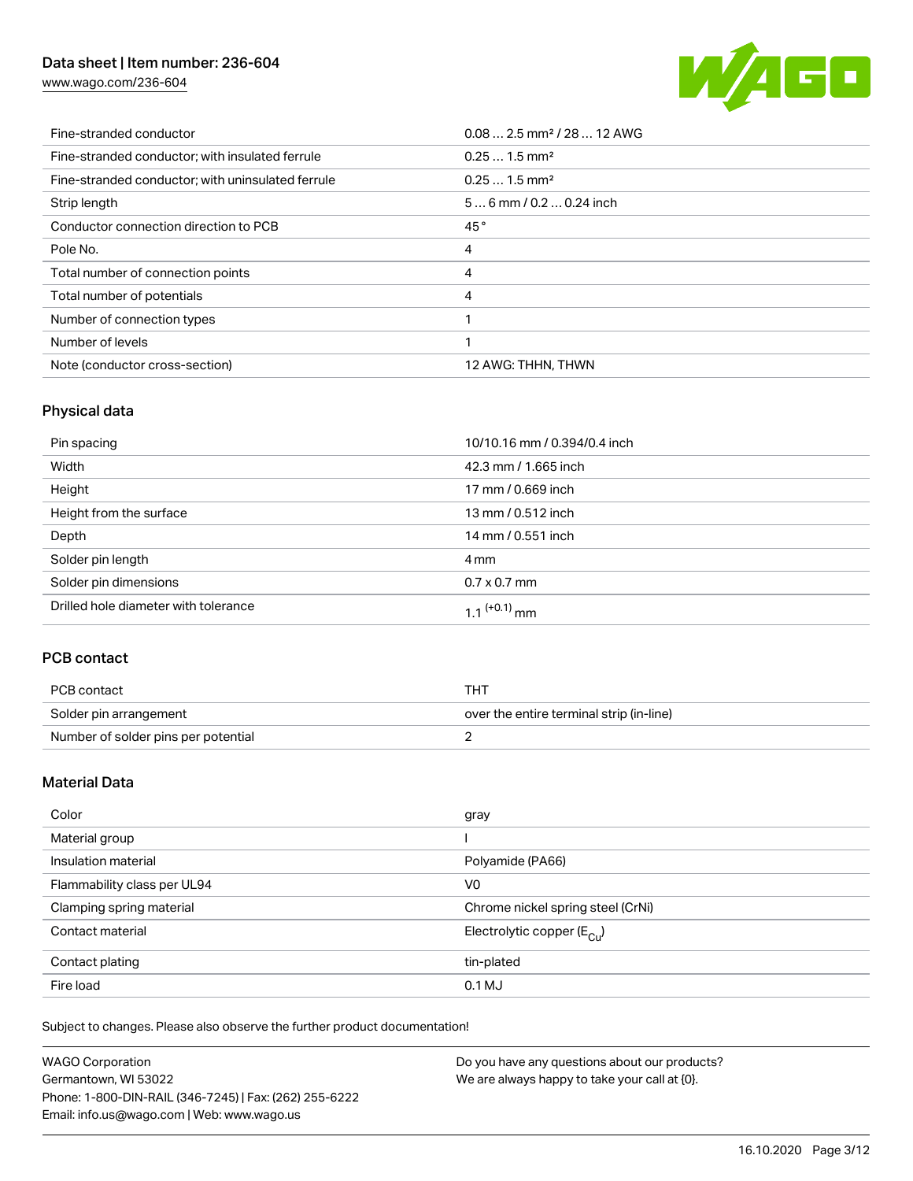[www.wago.com/236-604](http://www.wago.com/236-604)



| Fine-stranded conductor                           | $0.082.5$ mm <sup>2</sup> / 28  12 AWG |
|---------------------------------------------------|----------------------------------------|
| Fine-stranded conductor; with insulated ferrule   | $0.251.5$ mm <sup>2</sup>              |
| Fine-stranded conductor; with uninsulated ferrule | $0.251.5$ mm <sup>2</sup>              |
| Strip length                                      | $56$ mm / 0.2  0.24 inch               |
| Conductor connection direction to PCB             | 45°                                    |
| Pole No.                                          | 4                                      |
| Total number of connection points                 | 4                                      |
| Total number of potentials                        | 4                                      |
| Number of connection types                        |                                        |
| Number of levels                                  |                                        |
| Note (conductor cross-section)                    | 12 AWG: THHN, THWN                     |

## Physical data

| Pin spacing                          | 10/10.16 mm / 0.394/0.4 inch |
|--------------------------------------|------------------------------|
| Width                                | 42.3 mm / 1.665 inch         |
| Height                               | 17 mm / 0.669 inch           |
| Height from the surface              | 13 mm / 0.512 inch           |
| Depth                                | 14 mm / 0.551 inch           |
| Solder pin length                    | 4 mm                         |
| Solder pin dimensions                | $0.7 \times 0.7$ mm          |
| Drilled hole diameter with tolerance | $1.1$ <sup>(+0.1)</sup> mm   |

## PCB contact

| PCB contact                         | THT                                      |
|-------------------------------------|------------------------------------------|
| Solder pin arrangement              | over the entire terminal strip (in-line) |
| Number of solder pins per potential |                                          |

## Material Data

| Color                       | gray                                  |
|-----------------------------|---------------------------------------|
| Material group              |                                       |
| Insulation material         | Polyamide (PA66)                      |
| Flammability class per UL94 | V <sub>0</sub>                        |
| Clamping spring material    | Chrome nickel spring steel (CrNi)     |
| Contact material            | Electrolytic copper $(E_{\text{CL}})$ |
| Contact plating             | tin-plated                            |
| Fire load                   | $0.1$ MJ                              |

Subject to changes. Please also observe the further product documentation!

| <b>WAGO Corporation</b>                                | Do you have any questions about our products? |
|--------------------------------------------------------|-----------------------------------------------|
| Germantown, WI 53022                                   | We are always happy to take your call at {0}. |
| Phone: 1-800-DIN-RAIL (346-7245)   Fax: (262) 255-6222 |                                               |
| Email: info.us@wago.com   Web: www.wago.us             |                                               |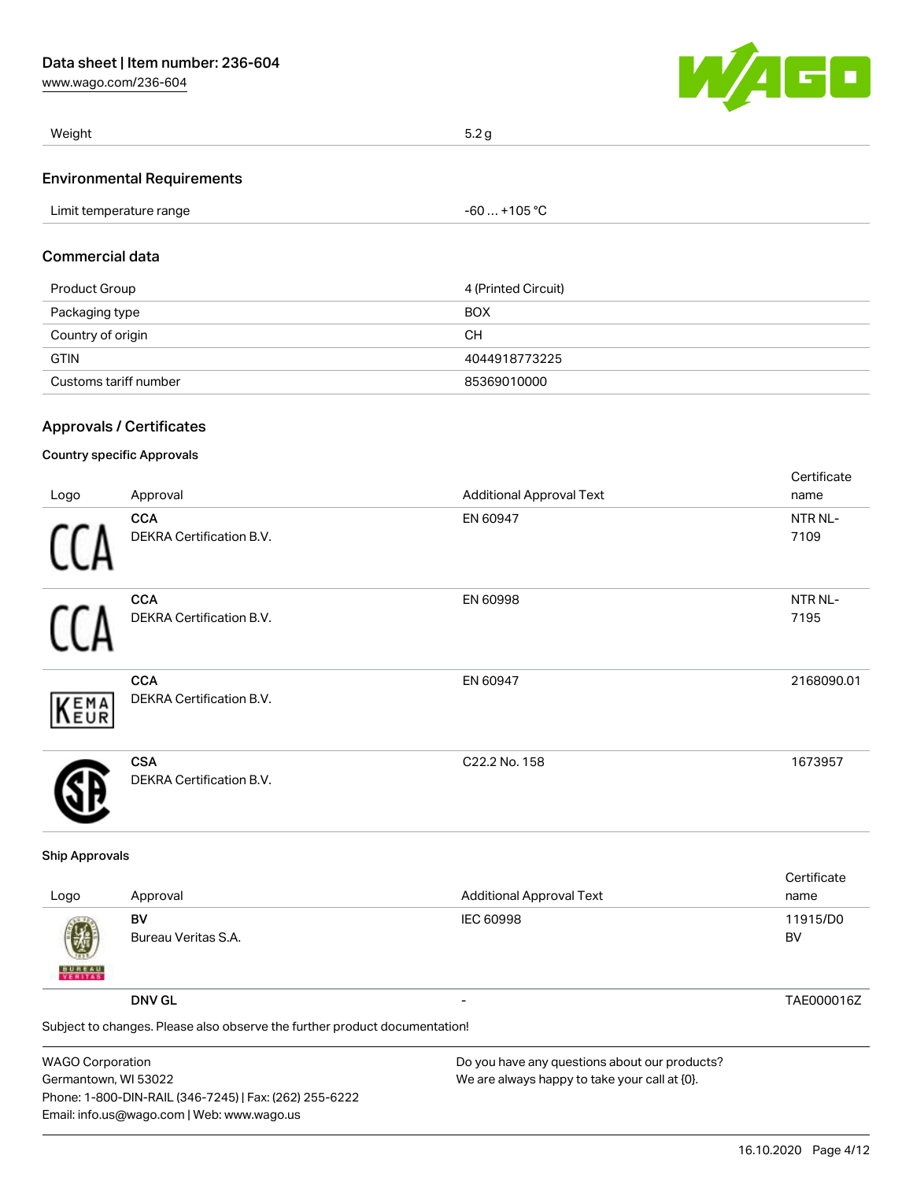[www.wago.com/236-604](http://www.wago.com/236-604)



| Weight                            | 5.2 <sub>q</sub> |
|-----------------------------------|------------------|
| <b>Environmental Requirements</b> |                  |

|                         | $-60+105$ °C |
|-------------------------|--------------|
| Limit temperature range |              |

## Commercial data

| Product Group         | 4 (Printed Circuit) |
|-----------------------|---------------------|
| Packaging type        | <b>BOX</b>          |
| Country of origin     | CН                  |
| <b>GTIN</b>           | 4044918773225       |
| Customs tariff number | 85369010000         |

## Approvals / Certificates

### Country specific Approvals

|      |                                               |                                 | Certificate     |
|------|-----------------------------------------------|---------------------------------|-----------------|
| Logo | Approval                                      | <b>Additional Approval Text</b> | name            |
| 11   | <b>CCA</b><br>DEKRA Certification B.V.        | EN 60947                        | NTR NL-<br>7109 |
| ſ1   | <b>CCA</b><br>DEKRA Certification B.V.        | EN 60998                        | NTR NL-<br>7195 |
| KEMA | <b>CCA</b><br>DEKRA Certification B.V.        | EN 60947                        | 2168090.01      |
|      | <b>CSA</b><br><b>DEKRA Certification B.V.</b> | C22.2 No. 158                   | 1673957         |

#### Ship Approvals

| Logo               | Approval                                                                   | <b>Additional Approval Text</b>               | Certificate<br>name |
|--------------------|----------------------------------------------------------------------------|-----------------------------------------------|---------------------|
| 粵<br><b>BUREAU</b> | BV<br>Bureau Veritas S.A.                                                  | <b>IEC 60998</b>                              | 11915/D0<br>BV      |
|                    | <b>DNV GL</b>                                                              | $\overline{\phantom{0}}$                      | TAE000016Z          |
|                    | Subject to changes. Please also observe the further product documentation! |                                               |                     |
| MADOM              |                                                                            | De usu kaus amu sucetiana akaut aus saadusta? |                     |

| <b>WAGO Corporation</b>                                |
|--------------------------------------------------------|
| Germantown, WI 53022                                   |
| Phone: 1-800-DIN-RAIL (346-7245)   Fax: (262) 255-6222 |
| Email: info.us@wago.com   Web: www.wago.us             |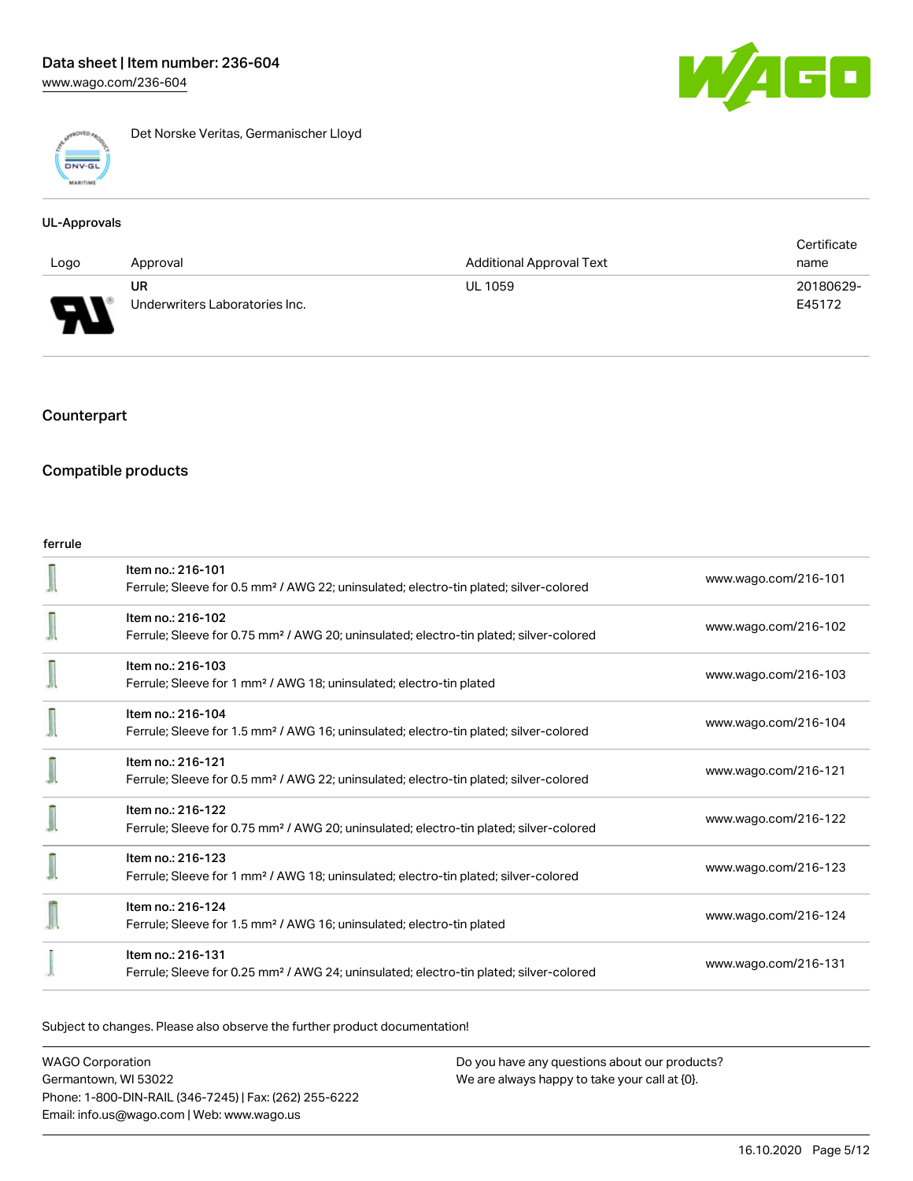

Det Norske Veritas, Germanischer Lloyd

#### UL-Approvals

|                          |                                |                                 | Certificate |
|--------------------------|--------------------------------|---------------------------------|-------------|
| Logo                     | Approval                       | <b>Additional Approval Text</b> | name        |
|                          | UR                             | <b>UL 1059</b>                  | 20180629-   |
| $\overline{\phantom{0}}$ | Underwriters Laboratories Inc. |                                 | E45172      |

### Counterpart

### Compatible products

#### ferrule

| Item no.: 216-101<br>Ferrule; Sleeve for 0.5 mm <sup>2</sup> / AWG 22; uninsulated; electro-tin plated; silver-colored  | www.wago.com/216-101 |
|-------------------------------------------------------------------------------------------------------------------------|----------------------|
| Item no.: 216-102<br>Ferrule; Sleeve for 0.75 mm <sup>2</sup> / AWG 20; uninsulated; electro-tin plated; silver-colored | www.wago.com/216-102 |
| Item no.: 216-103<br>Ferrule; Sleeve for 1 mm <sup>2</sup> / AWG 18; uninsulated; electro-tin plated                    | www.wago.com/216-103 |
| Item no.: 216-104<br>Ferrule; Sleeve for 1.5 mm <sup>2</sup> / AWG 16; uninsulated; electro-tin plated; silver-colored  | www.wago.com/216-104 |
| Item no.: 216-121<br>Ferrule; Sleeve for 0.5 mm <sup>2</sup> / AWG 22; uninsulated; electro-tin plated; silver-colored  | www.wago.com/216-121 |
| Item no.: 216-122<br>Ferrule; Sleeve for 0.75 mm <sup>2</sup> / AWG 20; uninsulated; electro-tin plated; silver-colored | www.wago.com/216-122 |
| Item no.: 216-123<br>Ferrule; Sleeve for 1 mm <sup>2</sup> / AWG 18; uninsulated; electro-tin plated; silver-colored    | www.wago.com/216-123 |
| Item no.: 216-124<br>Ferrule; Sleeve for 1.5 mm <sup>2</sup> / AWG 16; uninsulated; electro-tin plated                  | www.wago.com/216-124 |
| Item no.: 216-131<br>Ferrule; Sleeve for 0.25 mm <sup>2</sup> / AWG 24; uninsulated; electro-tin plated; silver-colored | www.wago.com/216-131 |

Subject to changes. Please also observe the further product documentation!

WAGO Corporation Germantown, WI 53022 Phone: 1-800-DIN-RAIL (346-7245) | Fax: (262) 255-6222 Email: info.us@wago.com | Web: www.wago.us

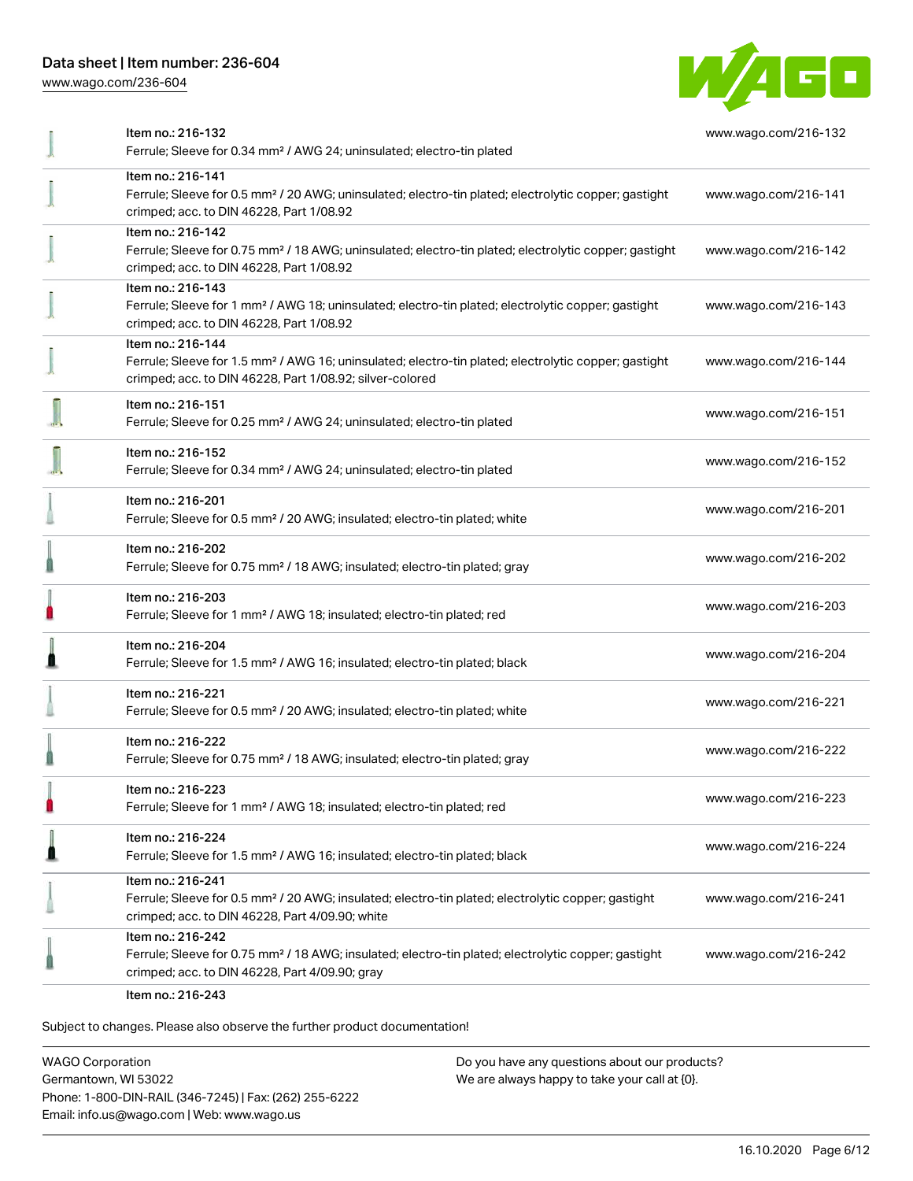[www.wago.com/236-604](http://www.wago.com/236-604)



| Item no.: 216-132<br>Ferrule; Sleeve for 0.34 mm <sup>2</sup> / AWG 24; uninsulated; electro-tin plated                                                                                           | www.wago.com/216-132 |
|---------------------------------------------------------------------------------------------------------------------------------------------------------------------------------------------------|----------------------|
| Item no.: 216-141<br>Ferrule; Sleeve for 0.5 mm <sup>2</sup> / 20 AWG; uninsulated; electro-tin plated; electrolytic copper; gastight<br>crimped; acc. to DIN 46228, Part 1/08.92                 | www.wago.com/216-141 |
| Item no.: 216-142<br>Ferrule; Sleeve for 0.75 mm <sup>2</sup> / 18 AWG; uninsulated; electro-tin plated; electrolytic copper; gastight<br>crimped; acc. to DIN 46228, Part 1/08.92                | www.wago.com/216-142 |
| Item no.: 216-143<br>Ferrule; Sleeve for 1 mm <sup>2</sup> / AWG 18; uninsulated; electro-tin plated; electrolytic copper; gastight<br>crimped; acc. to DIN 46228, Part 1/08.92                   | www.wago.com/216-143 |
| Item no.: 216-144<br>Ferrule; Sleeve for 1.5 mm <sup>2</sup> / AWG 16; uninsulated; electro-tin plated; electrolytic copper; gastight<br>crimped; acc. to DIN 46228, Part 1/08.92; silver-colored | www.wago.com/216-144 |
| Item no.: 216-151<br>Ferrule; Sleeve for 0.25 mm <sup>2</sup> / AWG 24; uninsulated; electro-tin plated                                                                                           | www.wago.com/216-151 |
| Item no.: 216-152<br>Ferrule; Sleeve for 0.34 mm <sup>2</sup> / AWG 24; uninsulated; electro-tin plated                                                                                           | www.wago.com/216-152 |
| Item no.: 216-201<br>Ferrule; Sleeve for 0.5 mm <sup>2</sup> / 20 AWG; insulated; electro-tin plated; white                                                                                       | www.wago.com/216-201 |
| Item no.: 216-202<br>Ferrule; Sleeve for 0.75 mm <sup>2</sup> / 18 AWG; insulated; electro-tin plated; gray                                                                                       | www.wago.com/216-202 |
| Item no.: 216-203<br>Ferrule; Sleeve for 1 mm <sup>2</sup> / AWG 18; insulated; electro-tin plated; red                                                                                           | www.wago.com/216-203 |
| Item no.: 216-204<br>Ferrule; Sleeve for 1.5 mm <sup>2</sup> / AWG 16; insulated; electro-tin plated; black                                                                                       | www.wago.com/216-204 |
| Item no.: 216-221<br>Ferrule; Sleeve for 0.5 mm <sup>2</sup> / 20 AWG; insulated; electro-tin plated; white                                                                                       | www.wago.com/216-221 |
| Item no.: 216-222<br>Ferrule; Sleeve for 0.75 mm <sup>2</sup> / 18 AWG; insulated; electro-tin plated; gray                                                                                       | www.wago.com/216-222 |
| Item no.: 216-223<br>Ferrule; Sleeve for 1 mm <sup>2</sup> / AWG 18; insulated; electro-tin plated; red                                                                                           | www.wago.com/216-223 |
| Item no.: 216-224<br>Ferrule; Sleeve for 1.5 mm <sup>2</sup> / AWG 16; insulated; electro-tin plated; black                                                                                       | www.wago.com/216-224 |
| Item no.: 216-241<br>Ferrule; Sleeve for 0.5 mm <sup>2</sup> / 20 AWG; insulated; electro-tin plated; electrolytic copper; gastight<br>crimped; acc. to DIN 46228, Part 4/09.90; white            | www.wago.com/216-241 |
| Item no.: 216-242<br>Ferrule; Sleeve for 0.75 mm <sup>2</sup> / 18 AWG; insulated; electro-tin plated; electrolytic copper; gastight<br>crimped; acc. to DIN 46228, Part 4/09.90; gray            | www.wago.com/216-242 |
|                                                                                                                                                                                                   |                      |

Item no.: 216-243

Subject to changes. Please also observe the further product documentation!

WAGO Corporation Germantown, WI 53022 Phone: 1-800-DIN-RAIL (346-7245) | Fax: (262) 255-6222 Email: info.us@wago.com | Web: www.wago.us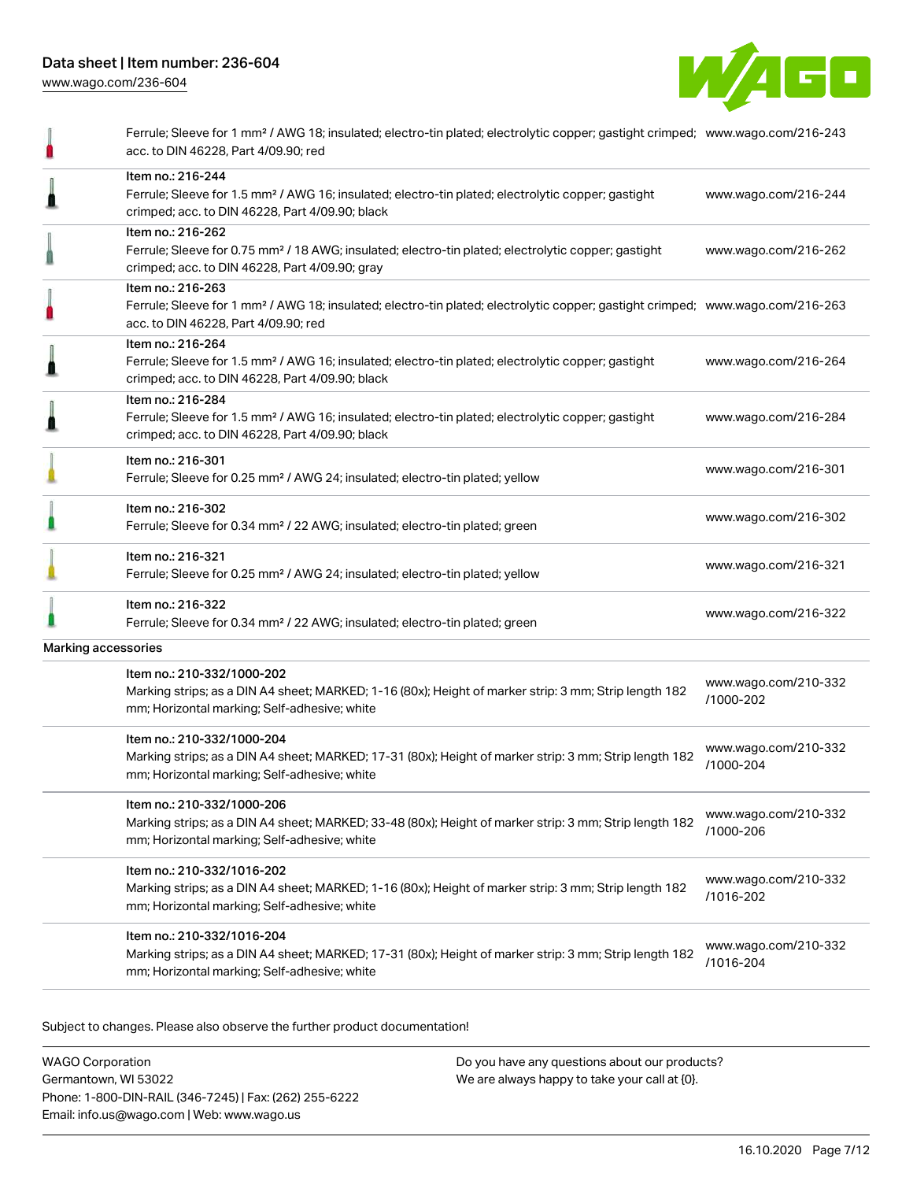

|                     | Ferrule; Sleeve for 1 mm <sup>2</sup> / AWG 18; insulated; electro-tin plated; electrolytic copper; gastight crimped; www.wago.com/216-243<br>acc. to DIN 46228, Part 4/09.90; red                      |                                   |
|---------------------|---------------------------------------------------------------------------------------------------------------------------------------------------------------------------------------------------------|-----------------------------------|
|                     | Item no.: 216-244<br>Ferrule; Sleeve for 1.5 mm <sup>2</sup> / AWG 16; insulated; electro-tin plated; electrolytic copper; gastight<br>crimped; acc. to DIN 46228, Part 4/09.90; black                  | www.wago.com/216-244              |
|                     | Item no.: 216-262<br>Ferrule; Sleeve for 0.75 mm <sup>2</sup> / 18 AWG; insulated; electro-tin plated; electrolytic copper; gastight<br>crimped; acc. to DIN 46228, Part 4/09.90; gray                  | www.wago.com/216-262              |
|                     | Item no.: 216-263<br>Ferrule; Sleeve for 1 mm <sup>2</sup> / AWG 18; insulated; electro-tin plated; electrolytic copper; gastight crimped; www.wago.com/216-263<br>acc. to DIN 46228, Part 4/09.90; red |                                   |
|                     | Item no.: 216-264<br>Ferrule; Sleeve for 1.5 mm <sup>2</sup> / AWG 16; insulated; electro-tin plated; electrolytic copper; gastight<br>crimped; acc. to DIN 46228, Part 4/09.90; black                  | www.wago.com/216-264              |
|                     | Item no.: 216-284<br>Ferrule; Sleeve for 1.5 mm <sup>2</sup> / AWG 16; insulated; electro-tin plated; electrolytic copper; gastight<br>crimped; acc. to DIN 46228, Part 4/09.90; black                  | www.wago.com/216-284              |
|                     | Item no.: 216-301<br>Ferrule; Sleeve for 0.25 mm <sup>2</sup> / AWG 24; insulated; electro-tin plated; yellow                                                                                           | www.wago.com/216-301              |
|                     | Item no.: 216-302<br>Ferrule; Sleeve for 0.34 mm <sup>2</sup> / 22 AWG; insulated; electro-tin plated; green                                                                                            | www.wago.com/216-302              |
|                     | Item no.: 216-321<br>Ferrule; Sleeve for 0.25 mm <sup>2</sup> / AWG 24; insulated; electro-tin plated; yellow                                                                                           | www.wago.com/216-321              |
|                     | Item no.: 216-322<br>Ferrule; Sleeve for 0.34 mm <sup>2</sup> / 22 AWG; insulated; electro-tin plated; green                                                                                            | www.wago.com/216-322              |
| Marking accessories |                                                                                                                                                                                                         |                                   |
|                     | Item no.: 210-332/1000-202<br>Marking strips; as a DIN A4 sheet; MARKED; 1-16 (80x); Height of marker strip: 3 mm; Strip length 182<br>mm; Horizontal marking; Self-adhesive; white                     | www.wago.com/210-332<br>/1000-202 |
|                     | Item no.: 210-332/1000-204<br>Marking strips; as a DIN A4 sheet; MARKED; 17-31 (80x); Height of marker strip: 3 mm; Strip length 182<br>mm; Horizontal marking; Self-adhesive; white                    | www.wago.com/210-332<br>/1000-204 |
|                     | Item no.: 210-332/1000-206<br>Marking strips; as a DIN A4 sheet; MARKED; 33-48 (80x); Height of marker strip: 3 mm; Strip length 182<br>mm; Horizontal marking; Self-adhesive; white                    | www.wago.com/210-332<br>/1000-206 |
|                     | Item no.: 210-332/1016-202<br>Marking strips; as a DIN A4 sheet; MARKED; 1-16 (80x); Height of marker strip: 3 mm; Strip length 182<br>mm; Horizontal marking; Self-adhesive; white                     | www.wago.com/210-332<br>/1016-202 |
|                     | Item no.: 210-332/1016-204<br>Marking strips; as a DIN A4 sheet; MARKED; 17-31 (80x); Height of marker strip: 3 mm; Strip length 182<br>mm; Horizontal marking; Self-adhesive; white                    | www.wago.com/210-332<br>/1016-204 |
|                     |                                                                                                                                                                                                         |                                   |

Subject to changes. Please also observe the further product documentation!

WAGO Corporation Germantown, WI 53022 Phone: 1-800-DIN-RAIL (346-7245) | Fax: (262) 255-6222 Email: info.us@wago.com | Web: www.wago.us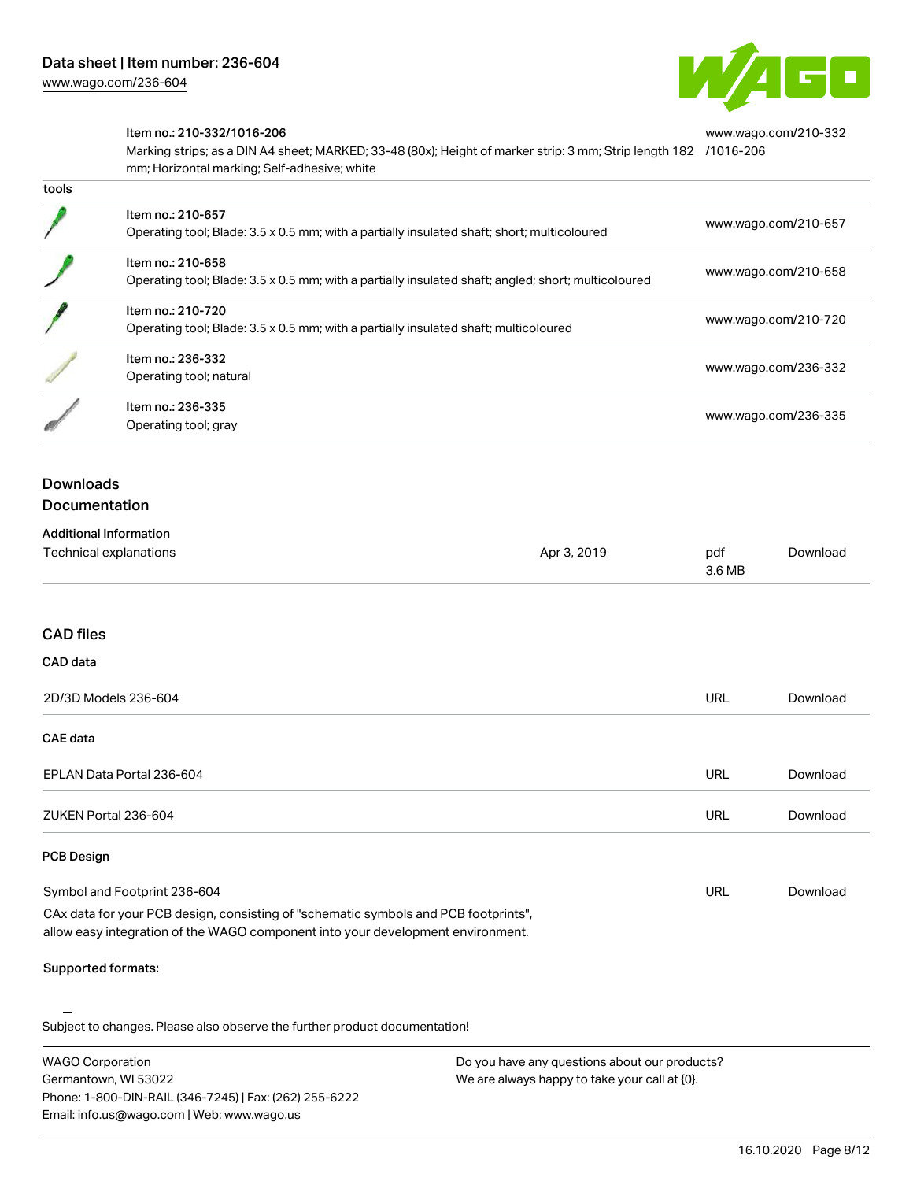

[www.wago.com/210-332](http://www.wago.com/210-332/1016-206)

#### Item no.: 210-332/1016-206

Marking strips; as a DIN A4 sheet; MARKED; 33-48 (80x); Height of marker strip: 3 mm; Strip length 182 [/1016-206](http://www.wago.com/210-332/1016-206) mm; Horizontal marking; Self-adhesive; white

| เบบเจ |                                                                                                                          |                      |
|-------|--------------------------------------------------------------------------------------------------------------------------|----------------------|
|       | Item no.: 210-657<br>Operating tool; Blade: 3.5 x 0.5 mm; with a partially insulated shaft; short; multicoloured         | www.wago.com/210-657 |
|       | Item no.: 210-658<br>Operating tool; Blade: 3.5 x 0.5 mm; with a partially insulated shaft; angled; short; multicoloured | www.wago.com/210-658 |
|       | Item no.: 210-720<br>Operating tool; Blade: 3.5 x 0.5 mm; with a partially insulated shaft; multicoloured                | www.wago.com/210-720 |
|       | Item no.: 236-332<br>Operating tool; natural                                                                             | www.wago.com/236-332 |
|       | Item no.: 236-335<br>Operating tool; gray                                                                                | www.wago.com/236-335 |

# Downloads

tools

#### Documentation

| <b>Additional Information</b> |             |        |          |
|-------------------------------|-------------|--------|----------|
| Technical explanations        | Apr 3, 2019 | pdf    | Download |
|                               |             | 3.6 MB |          |

#### CAD files

| CAD data                  |            |          |
|---------------------------|------------|----------|
| 2D/3D Models 236-604      | <b>URL</b> | Download |
| <b>CAE data</b>           |            |          |
| EPLAN Data Portal 236-604 | URL        | Download |
| ZUKEN Portal 236-604      | URL        | Download |
| <b>PCB Design</b>         |            |          |

#### Symbol and Footprint 236-604 CAx data for your PCB design, consisting of "schematic symbols and PCB footprints", URL [Download](https://www.wago.com/us/d/UltraLibrarian_URLS_236-604)

allow easy integration of the WAGO component into your development environment.

#### Supported formats:

Subject to changes. Please also observe the further product documentation!

WAGO Corporation Germantown, WI 53022 Phone: 1-800-DIN-RAIL (346-7245) | Fax: (262) 255-6222 Email: info.us@wago.com | Web: www.wago.us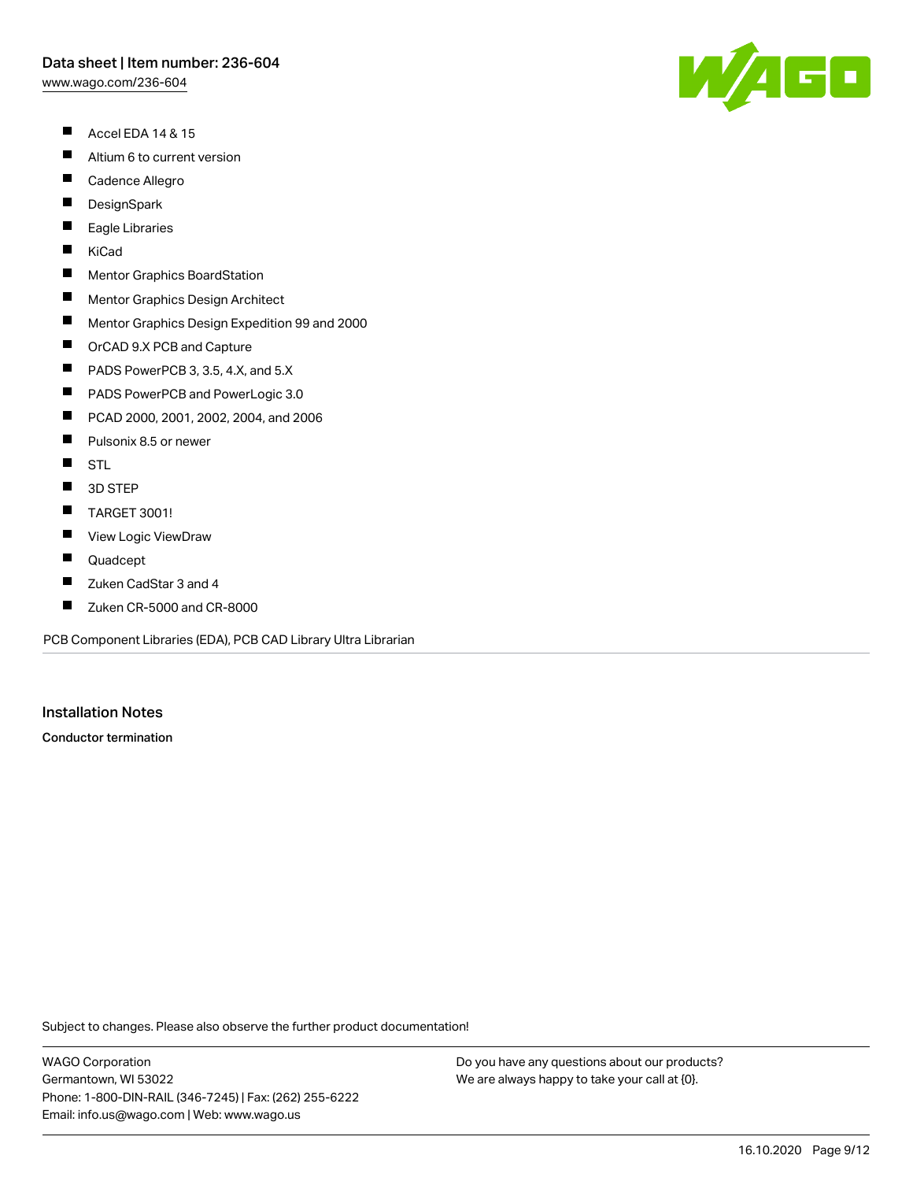[www.wago.com/236-604](http://www.wago.com/236-604)

- $\blacksquare$ Accel EDA 14 & 15
- $\blacksquare$ Altium 6 to current version
- $\blacksquare$ Cadence Allegro
- $\blacksquare$ **DesignSpark**
- П Eagle Libraries
- $\blacksquare$ KiCad
- $\blacksquare$ Mentor Graphics BoardStation
- $\blacksquare$ Mentor Graphics Design Architect
- $\blacksquare$ Mentor Graphics Design Expedition 99 and 2000
- $\blacksquare$ OrCAD 9.X PCB and Capture
- $\blacksquare$ PADS PowerPCB 3, 3.5, 4.X, and 5.X
- $\blacksquare$ PADS PowerPCB and PowerLogic 3.0
- $\blacksquare$ PCAD 2000, 2001, 2002, 2004, and 2006
- $\blacksquare$ Pulsonix 8.5 or newer
- $\blacksquare$ **STL**
- $\blacksquare$ 3D STEP
- $\blacksquare$ TARGET 3001!
- $\blacksquare$ View Logic ViewDraw
- $\blacksquare$ Quadcept
- П Zuken CadStar 3 and 4
- $\blacksquare$ Zuken CR-5000 and CR-8000

PCB Component Libraries (EDA), PCB CAD Library Ultra Librarian

#### Installation Notes

Conductor termination

Subject to changes. Please also observe the further product documentation!

WAGO Corporation Germantown, WI 53022 Phone: 1-800-DIN-RAIL (346-7245) | Fax: (262) 255-6222 Email: info.us@wago.com | Web: www.wago.us

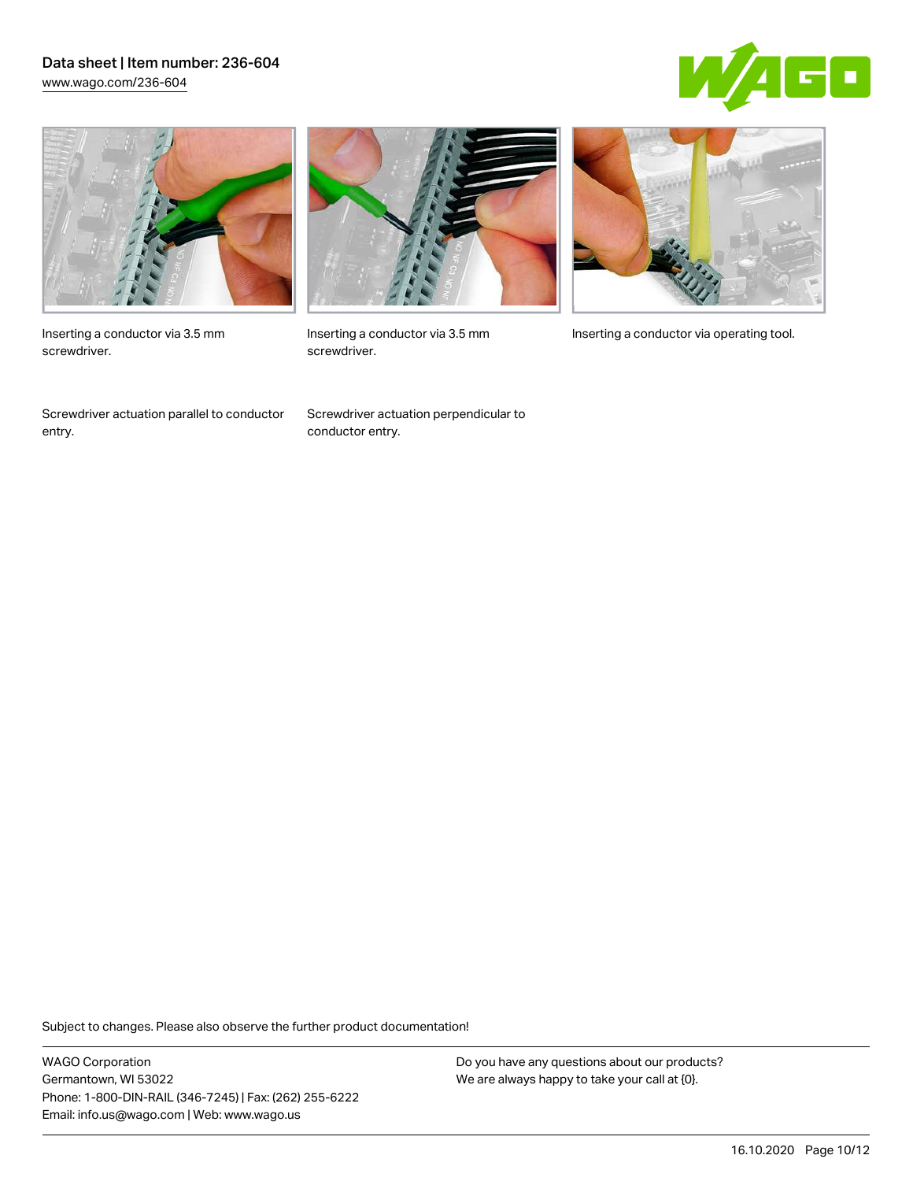### Data sheet | Item number: 236-604 [www.wago.com/236-604](http://www.wago.com/236-604)





Inserting a conductor via 3.5 mm screwdriver.

Screwdriver actuation parallel to conductor entry.



screwdriver.

Screwdriver actuation perpendicular to conductor entry.



Inserting a conductor via 3.5 mm Inserting a conductor via operating tool.

Subject to changes. Please also observe the further product documentation!

WAGO Corporation Germantown, WI 53022 Phone: 1-800-DIN-RAIL (346-7245) | Fax: (262) 255-6222 Email: info.us@wago.com | Web: www.wago.us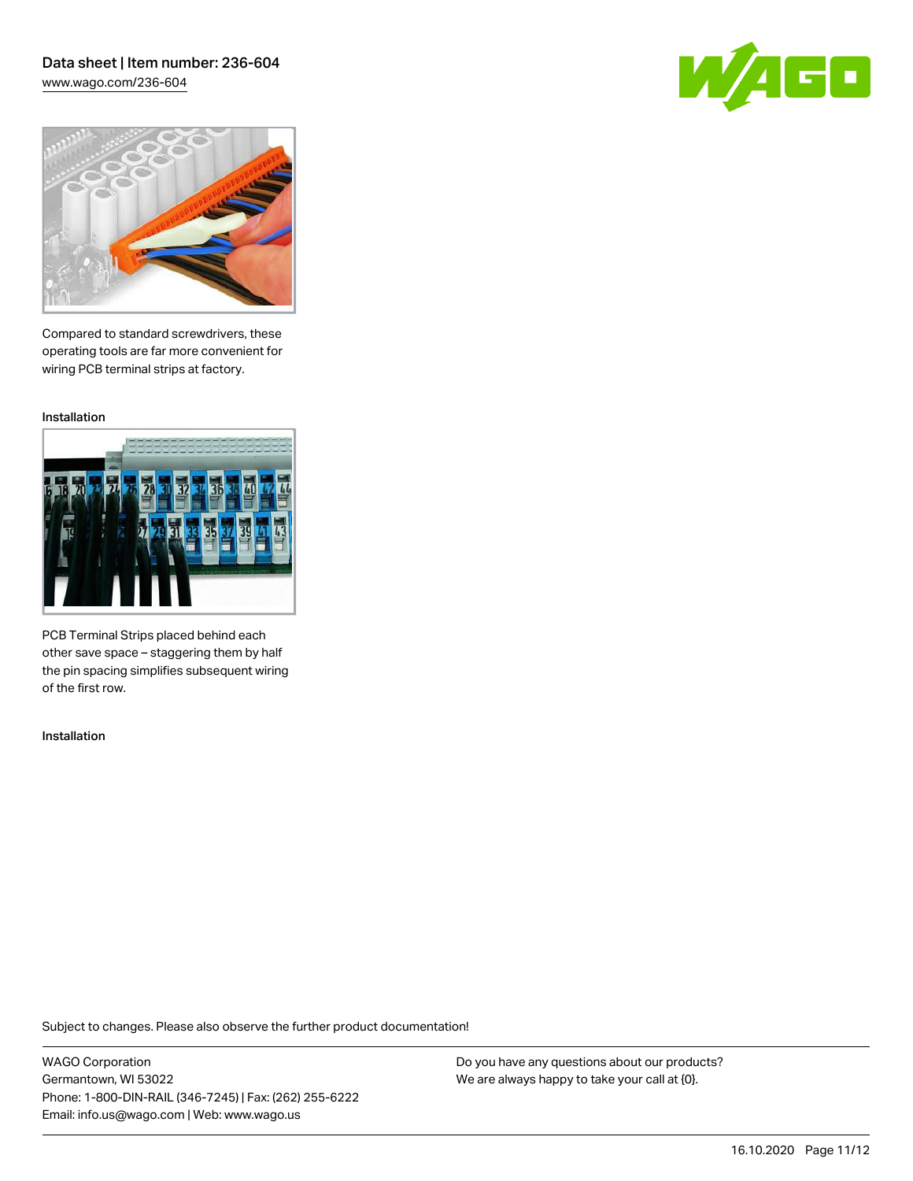## Data sheet | Item number: 236-604 [www.wago.com/236-604](http://www.wago.com/236-604)





Compared to standard screwdrivers, these operating tools are far more convenient for wiring PCB terminal strips at factory.

Installation



PCB Terminal Strips placed behind each other save space – staggering them by half the pin spacing simplifies subsequent wiring of the first row.

Installation

Subject to changes. Please also observe the further product documentation!

WAGO Corporation Germantown, WI 53022 Phone: 1-800-DIN-RAIL (346-7245) | Fax: (262) 255-6222 Email: info.us@wago.com | Web: www.wago.us